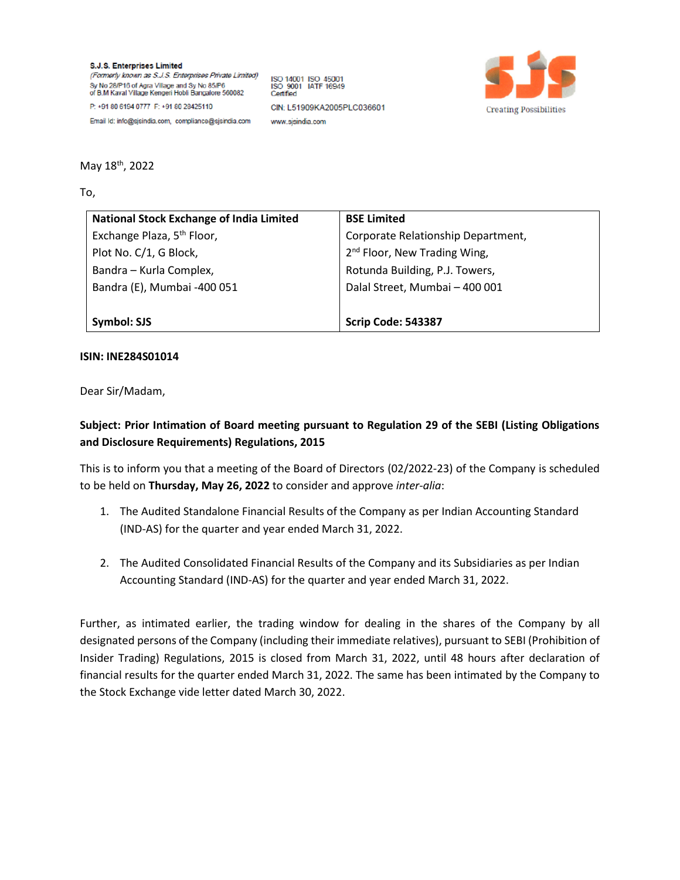**S.J.S. Enterprises Limited** (Formerly known as S.J.S. Enterprises Private Limited) Sy No 28/P16 of Agra Village and Sy No 85/P6 of B.M Kaval Village Kengeri Hobli Bangalore 560082 P: +91 80 6194 0777 F: +91 80 28425110

ISO 14001 ISO 45001<br>ISO 9001 IATF 16949 Certified CIN: L51909KA2005PLC036601 www.sisindia.com



Email Id: info@sjsindia.com, compliance@sjsindia.com

May 18<sup>th</sup>, 2022

To,

| <b>National Stock Exchange of India Limited</b> | <b>BSE Limited</b>                       |
|-------------------------------------------------|------------------------------------------|
| Exchange Plaza, 5 <sup>th</sup> Floor,          | Corporate Relationship Department,       |
| Plot No. C/1, G Block,                          | 2 <sup>nd</sup> Floor, New Trading Wing, |
| Bandra - Kurla Complex,                         | Rotunda Building, P.J. Towers,           |
| Bandra (E), Mumbai -400 051                     | Dalal Street, Mumbai - 400 001           |
|                                                 |                                          |
| Symbol: SJS                                     | <b>Scrip Code: 543387</b>                |

## **ISIN: INE284S01014**

Dear Sir/Madam,

## **Subject: Prior Intimation of Board meeting pursuant to Regulation 29 of the SEBI (Listing Obligations and Disclosure Requirements) Regulations, 2015**

This is to inform you that a meeting of the Board of Directors (02/2022-23) of the Company is scheduled to be held on **Thursday, May 26, 2022** to consider and approve *inter-alia*:

- 1. The Audited Standalone Financial Results of the Company as per Indian Accounting Standard (IND-AS) for the quarter and year ended March 31, 2022.
- 2. The Audited Consolidated Financial Results of the Company and its Subsidiaries as per Indian Accounting Standard (IND-AS) for the quarter and year ended March 31, 2022.

Further, as intimated earlier, the trading window for dealing in the shares of the Company by all designated persons of the Company (including their immediate relatives), pursuant to SEBI (Prohibition of Insider Trading) Regulations, 2015 is closed from March 31, 2022, until 48 hours after declaration of financial results for the quarter ended March 31, 2022. The same has been intimated by the Company to the Stock Exchange vide letter dated March 30, 2022.